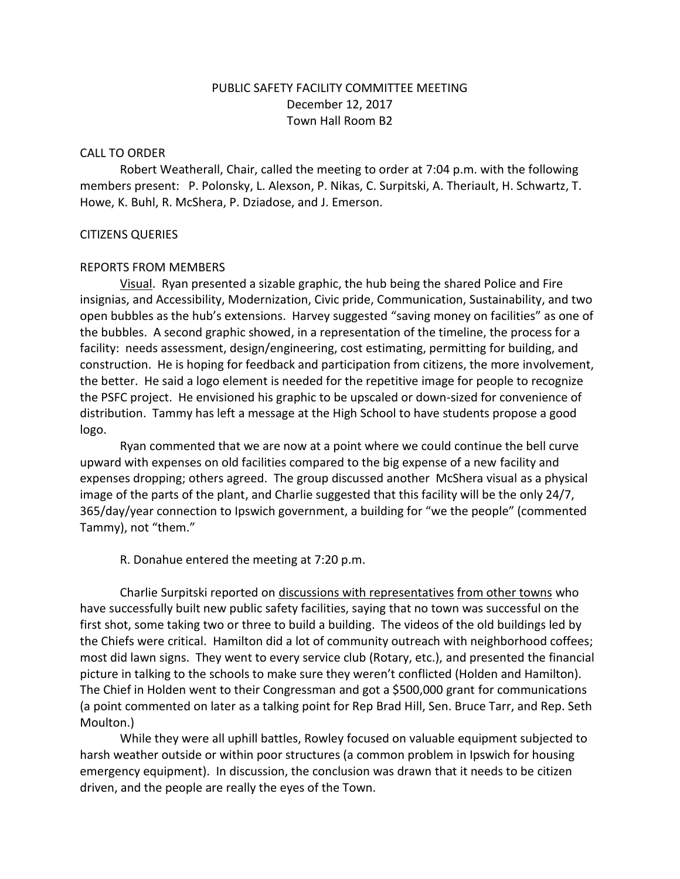# PUBLIC SAFETY FACILITY COMMITTEE MEETING December 12, 2017 Town Hall Room B2

#### CALL TO ORDER

Robert Weatherall, Chair, called the meeting to order at 7:04 p.m. with the following members present: P. Polonsky, L. Alexson, P. Nikas, C. Surpitski, A. Theriault, H. Schwartz, T. Howe, K. Buhl, R. McShera, P. Dziadose, and J. Emerson.

## CITIZENS QUERIES

## REPORTS FROM MEMBERS

Visual. Ryan presented a sizable graphic, the hub being the shared Police and Fire insignias, and Accessibility, Modernization, Civic pride, Communication, Sustainability, and two open bubbles as the hub's extensions. Harvey suggested "saving money on facilities" as one of the bubbles. A second graphic showed, in a representation of the timeline, the process for a facility: needs assessment, design/engineering, cost estimating, permitting for building, and construction. He is hoping for feedback and participation from citizens, the more involvement, the better. He said a logo element is needed for the repetitive image for people to recognize the PSFC project. He envisioned his graphic to be upscaled or down-sized for convenience of distribution. Tammy has left a message at the High School to have students propose a good logo.

Ryan commented that we are now at a point where we could continue the bell curve upward with expenses on old facilities compared to the big expense of a new facility and expenses dropping; others agreed. The group discussed another McShera visual as a physical image of the parts of the plant, and Charlie suggested that this facility will be the only 24/7, 365/day/year connection to Ipswich government, a building for "we the people" (commented Tammy), not "them."

R. Donahue entered the meeting at 7:20 p.m.

Charlie Surpitski reported on discussions with representatives from other towns who have successfully built new public safety facilities, saying that no town was successful on the first shot, some taking two or three to build a building. The videos of the old buildings led by the Chiefs were critical. Hamilton did a lot of community outreach with neighborhood coffees; most did lawn signs. They went to every service club (Rotary, etc.), and presented the financial picture in talking to the schools to make sure they weren't conflicted (Holden and Hamilton). The Chief in Holden went to their Congressman and got a \$500,000 grant for communications (a point commented on later as a talking point for Rep Brad Hill, Sen. Bruce Tarr, and Rep. Seth Moulton.)

While they were all uphill battles, Rowley focused on valuable equipment subjected to harsh weather outside or within poor structures (a common problem in Ipswich for housing emergency equipment). In discussion, the conclusion was drawn that it needs to be citizen driven, and the people are really the eyes of the Town.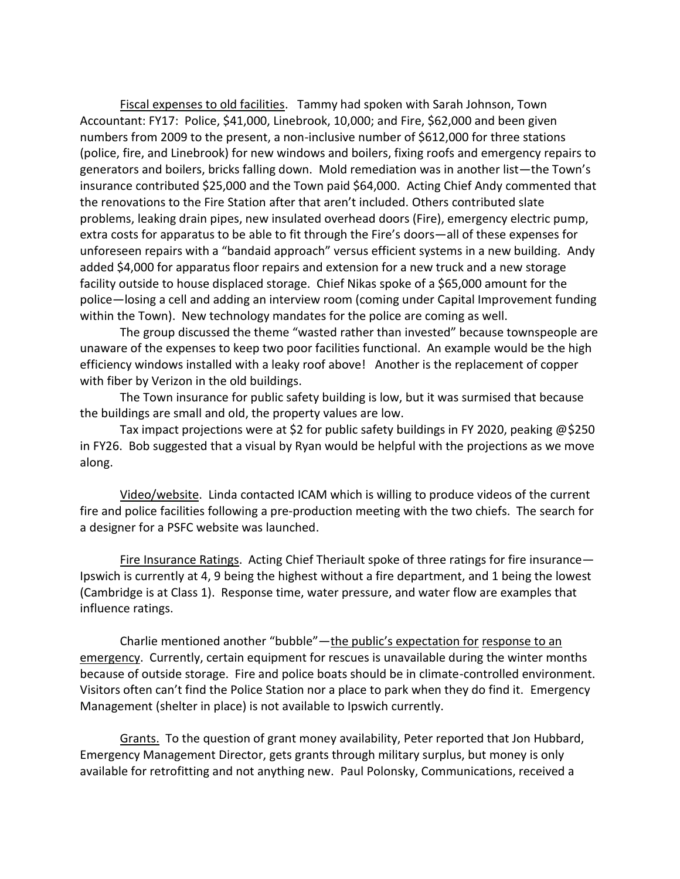Fiscal expenses to old facilities. Tammy had spoken with Sarah Johnson, Town Accountant: FY17: Police, \$41,000, Linebrook, 10,000; and Fire, \$62,000 and been given numbers from 2009 to the present, a non-inclusive number of \$612,000 for three stations (police, fire, and Linebrook) for new windows and boilers, fixing roofs and emergency repairs to generators and boilers, bricks falling down. Mold remediation was in another list—the Town's insurance contributed \$25,000 and the Town paid \$64,000. Acting Chief Andy commented that the renovations to the Fire Station after that aren't included. Others contributed slate problems, leaking drain pipes, new insulated overhead doors (Fire), emergency electric pump, extra costs for apparatus to be able to fit through the Fire's doors—all of these expenses for unforeseen repairs with a "bandaid approach" versus efficient systems in a new building. Andy added \$4,000 for apparatus floor repairs and extension for a new truck and a new storage facility outside to house displaced storage. Chief Nikas spoke of a \$65,000 amount for the police—losing a cell and adding an interview room (coming under Capital Improvement funding within the Town). New technology mandates for the police are coming as well.

The group discussed the theme "wasted rather than invested" because townspeople are unaware of the expenses to keep two poor facilities functional. An example would be the high efficiency windows installed with a leaky roof above! Another is the replacement of copper with fiber by Verizon in the old buildings.

The Town insurance for public safety building is low, but it was surmised that because the buildings are small and old, the property values are low.

Tax impact projections were at \$2 for public safety buildings in FY 2020, peaking @\$250 in FY26. Bob suggested that a visual by Ryan would be helpful with the projections as we move along.

Video/website. Linda contacted ICAM which is willing to produce videos of the current fire and police facilities following a pre-production meeting with the two chiefs. The search for a designer for a PSFC website was launched.

Fire Insurance Ratings. Acting Chief Theriault spoke of three ratings for fire insurance— Ipswich is currently at 4, 9 being the highest without a fire department, and 1 being the lowest (Cambridge is at Class 1). Response time, water pressure, and water flow are examples that influence ratings.

Charlie mentioned another "bubble"—the public's expectation for response to an emergency. Currently, certain equipment for rescues is unavailable during the winter months because of outside storage. Fire and police boats should be in climate-controlled environment. Visitors often can't find the Police Station nor a place to park when they do find it. Emergency Management (shelter in place) is not available to Ipswich currently.

Grants. To the question of grant money availability, Peter reported that Jon Hubbard, Emergency Management Director, gets grants through military surplus, but money is only available for retrofitting and not anything new. Paul Polonsky, Communications, received a